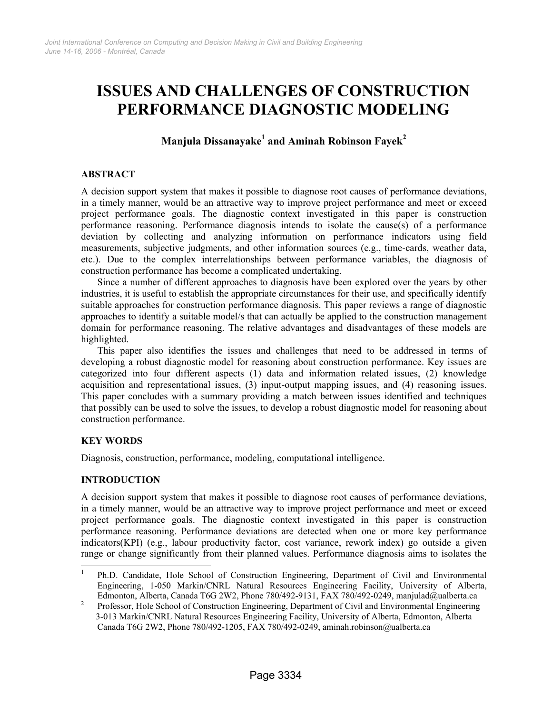# **ISSUES AND CHALLENGES OF CONSTRUCTION PERFORMANCE DIAGNOSTIC MODELING**

# **Manjula Dissanayake1 and Aminah Robinson Fayek<sup>2</sup>**

# **ABSTRACT**

A decision support system that makes it possible to diagnose root causes of performance deviations, in a timely manner, would be an attractive way to improve project performance and meet or exceed project performance goals. The diagnostic context investigated in this paper is construction performance reasoning. Performance diagnosis intends to isolate the cause(s) of a performance deviation by collecting and analyzing information on performance indicators using field measurements, subjective judgments, and other information sources (e.g., time-cards, weather data, etc.). Due to the complex interrelationships between performance variables, the diagnosis of construction performance has become a complicated undertaking.

Since a number of different approaches to diagnosis have been explored over the years by other industries, it is useful to establish the appropriate circumstances for their use, and specifically identify suitable approaches for construction performance diagnosis. This paper reviews a range of diagnostic approaches to identify a suitable model/s that can actually be applied to the construction management domain for performance reasoning. The relative advantages and disadvantages of these models are highlighted.

This paper also identifies the issues and challenges that need to be addressed in terms of developing a robust diagnostic model for reasoning about construction performance. Key issues are categorized into four different aspects (1) data and information related issues, (2) knowledge acquisition and representational issues, (3) input-output mapping issues, and (4) reasoning issues. This paper concludes with a summary providing a match between issues identified and techniques that possibly can be used to solve the issues, to develop a robust diagnostic model for reasoning about construction performance.

# **KEY WORDS**

Diagnosis, construction, performance, modeling, computational intelligence.

#### **INTRODUCTION**

A decision support system that makes it possible to diagnose root causes of performance deviations, in a timely manner, would be an attractive way to improve project performance and meet or exceed project performance goals. The diagnostic context investigated in this paper is construction performance reasoning. Performance deviations are detected when one or more key performance indicators(KPI) (e.g., labour productivity factor, cost variance, rework index) go outside a given range or change significantly from their planned values. Performance diagnosis aims to isolates the

<sup>|&</sup>lt;br>|<br>| Ph.D. Candidate, Hole School of Construction Engineering, Department of Civil and Environmental Engineering, 1-050 Markin/CNRL Natural Resources Engineering Facility, University of Alberta, Edmonton, Alberta, Canada T6G 2W2, Phone 780/492-9131, FAX 780/492-0249, manjulad@ualberta.ca 2

Professor, Hole School of Construction Engineering, Department of Civil and Environmental Engineering 3-013 Markin/CNRL Natural Resources Engineering Facility, University of Alberta, Edmonton, Alberta Canada T6G 2W2, Phone 780/492-1205, FAX 780/492-0249, aminah.robinson@ualberta.ca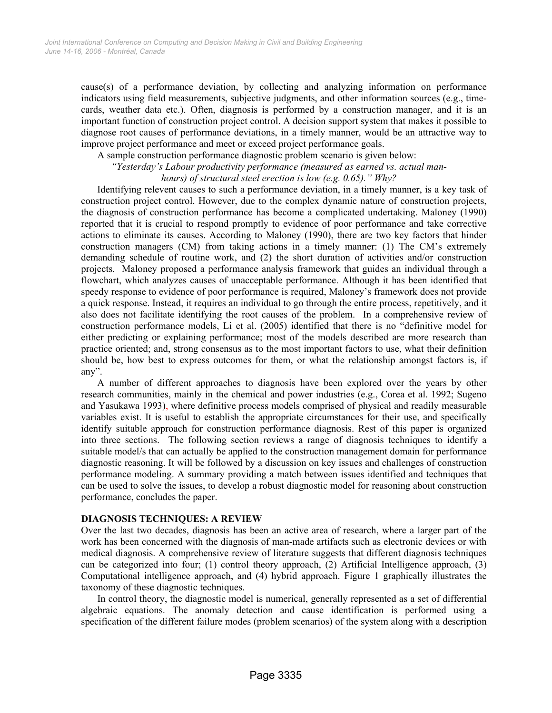cause(s) of a performance deviation, by collecting and analyzing information on performance indicators using field measurements, subjective judgments, and other information sources (e.g., timecards, weather data etc.). Often, diagnosis is performed by a construction manager, and it is an important function of construction project control. A decision support system that makes it possible to diagnose root causes of performance deviations, in a timely manner, would be an attractive way to improve project performance and meet or exceed project performance goals.

A sample construction performance diagnostic problem scenario is given below:

*"Yesterday's Labour productivity performance (measured as earned vs. actual man-*

*hours) of structural steel erection is low (e.g. 0.65)." Why?* 

Identifying relevent causes to such a performance deviation, in a timely manner, is a key task of construction project control. However, due to the complex dynamic nature of construction projects, the diagnosis of construction performance has become a complicated undertaking. Maloney (1990) reported that it is crucial to respond promptly to evidence of poor performance and take corrective actions to eliminate its causes. According to Maloney (1990), there are two key factors that hinder construction managers (CM) from taking actions in a timely manner: (1) The CM's extremely demanding schedule of routine work, and (2) the short duration of activities and/or construction projects. Maloney proposed a performance analysis framework that guides an individual through a flowchart, which analyzes causes of unacceptable performance. Although it has been identified that speedy response to evidence of poor performance is required, Maloney's framework does not provide a quick response. Instead, it requires an individual to go through the entire process, repetitively, and it also does not facilitate identifying the root causes of the problem. In a comprehensive review of construction performance models, Li et al. (2005) identified that there is no "definitive model for either predicting or explaining performance; most of the models described are more research than practice oriented; and, strong consensus as to the most important factors to use, what their definition should be, how best to express outcomes for them, or what the relationship amongst factors is, if any".

A number of different approaches to diagnosis have been explored over the years by other research communities, mainly in the chemical and power industries (e.g., Corea et al. 1992; Sugeno and Yasukawa 1993), where definitive process models comprised of physical and readily measurable variables exist. It is useful to establish the appropriate circumstances for their use, and specifically identify suitable approach for construction performance diagnosis. Rest of this paper is organized into three sections. The following section reviews a range of diagnosis techniques to identify a suitable model/s that can actually be applied to the construction management domain for performance diagnostic reasoning. It will be followed by a discussion on key issues and challenges of construction performance modeling. A summary providing a match between issues identified and techniques that can be used to solve the issues, to develop a robust diagnostic model for reasoning about construction performance, concludes the paper.

#### **DIAGNOSIS TECHNIQUES: A REVIEW**

Over the last two decades, diagnosis has been an active area of research, where a larger part of the work has been concerned with the diagnosis of man-made artifacts such as electronic devices or with medical diagnosis. A comprehensive review of literature suggests that different diagnosis techniques can be categorized into four; (1) control theory approach, (2) Artificial Intelligence approach, (3) Computational intelligence approach, and (4) hybrid approach. Figure 1 graphically illustrates the taxonomy of these diagnostic techniques.

In control theory, the diagnostic model is numerical, generally represented as a set of differential algebraic equations. The anomaly detection and cause identification is performed using a specification of the different failure modes (problem scenarios) of the system along with a description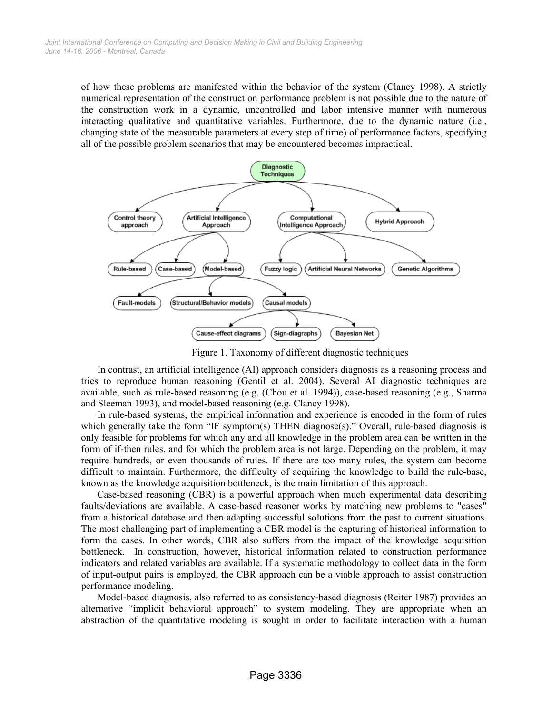of how these problems are manifested within the behavior of the system (Clancy 1998). A strictly numerical representation of the construction performance problem is not possible due to the nature of the construction work in a dynamic, uncontrolled and labor intensive manner with numerous interacting qualitative and quantitative variables. Furthermore, due to the dynamic nature (i.e., changing state of the measurable parameters at every step of time) of performance factors, specifying all of the possible problem scenarios that may be encountered becomes impractical.



Figure 1. Taxonomy of different diagnostic techniques

In contrast, an artificial intelligence (AI) approach considers diagnosis as a reasoning process and tries to reproduce human reasoning (Gentil et al. 2004). Several AI diagnostic techniques are available, such as rule-based reasoning (e.g. (Chou et al. 1994)), case-based reasoning (e.g., Sharma and Sleeman 1993), and model-based reasoning (e.g. Clancy 1998).

In rule-based systems, the empirical information and experience is encoded in the form of rules which generally take the form "IF symptom(s) THEN diagnose(s)." Overall, rule-based diagnosis is only feasible for problems for which any and all knowledge in the problem area can be written in the form of if-then rules, and for which the problem area is not large. Depending on the problem, it may require hundreds, or even thousands of rules. If there are too many rules, the system can become difficult to maintain. Furthermore, the difficulty of acquiring the knowledge to build the rule-base, known as the knowledge acquisition bottleneck, is the main limitation of this approach.

Case-based reasoning (CBR) is a powerful approach when much experimental data describing faults/deviations are available. A case-based reasoner works by matching new problems to "cases" from a historical database and then adapting successful solutions from the past to current situations. The most challenging part of implementing a CBR model is the capturing of historical information to form the cases. In other words, CBR also suffers from the impact of the knowledge acquisition bottleneck. In construction, however, historical information related to construction performance indicators and related variables are available. If a systematic methodology to collect data in the form of input-output pairs is employed, the CBR approach can be a viable approach to assist construction performance modeling.

Model-based diagnosis, also referred to as consistency-based diagnosis (Reiter 1987) provides an alternative "implicit behavioral approach" to system modeling. They are appropriate when an abstraction of the quantitative modeling is sought in order to facilitate interaction with a human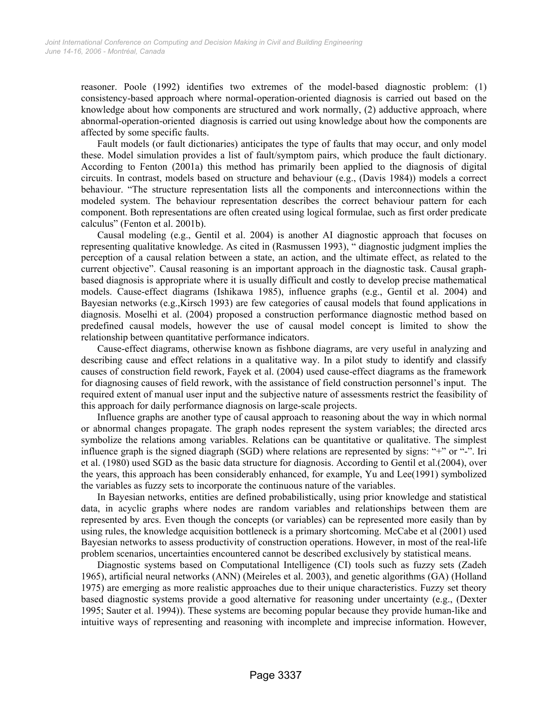reasoner. Poole (1992) identifies two extremes of the model-based diagnostic problem: (1) consistency-based approach where normal-operation-oriented diagnosis is carried out based on the knowledge about how components are structured and work normally, (2) adductive approach, where abnormal-operation-oriented diagnosis is carried out using knowledge about how the components are affected by some specific faults.

Fault models (or fault dictionaries) anticipates the type of faults that may occur, and only model these. Model simulation provides a list of fault/symptom pairs, which produce the fault dictionary. According to Fenton (2001a) this method has primarily been applied to the diagnosis of digital circuits. In contrast, models based on structure and behaviour (e.g., (Davis 1984)) models a correct behaviour. "The structure representation lists all the components and interconnections within the modeled system. The behaviour representation describes the correct behaviour pattern for each component. Both representations are often created using logical formulae, such as first order predicate calculus" (Fenton et al. 2001b).

Causal modeling (e.g., Gentil et al. 2004) is another AI diagnostic approach that focuses on representing qualitative knowledge. As cited in (Rasmussen 1993), " diagnostic judgment implies the perception of a causal relation between a state, an action, and the ultimate effect, as related to the current objective". Causal reasoning is an important approach in the diagnostic task. Causal graphbased diagnosis is appropriate where it is usually difficult and costly to develop precise mathematical models. Cause-effect diagrams (Ishikawa 1985), influence graphs (e.g., Gentil et al. 2004) and Bayesian networks (e.g.,Kirsch 1993) are few categories of causal models that found applications in diagnosis. Moselhi et al. (2004) proposed a construction performance diagnostic method based on predefined causal models, however the use of causal model concept is limited to show the relationship between quantitative performance indicators.

Cause-effect diagrams, otherwise known as fishbone diagrams, are very useful in analyzing and describing cause and effect relations in a qualitative way. In a pilot study to identify and classify causes of construction field rework, Fayek et al. (2004) used cause-effect diagrams as the framework for diagnosing causes of field rework, with the assistance of field construction personnel's input. The required extent of manual user input and the subjective nature of assessments restrict the feasibility of this approach for daily performance diagnosis on large-scale projects.

Influence graphs are another type of causal approach to reasoning about the way in which normal or abnormal changes propagate. The graph nodes represent the system variables; the directed arcs symbolize the relations among variables. Relations can be quantitative or qualitative. The simplest influence graph is the signed diagraph (SGD) where relations are represented by signs: "+" or "-". Iri et al. (1980) used SGD as the basic data structure for diagnosis. According to Gentil et al.(2004), over the years, this approach has been considerably enhanced, for example, Yu and Lee(1991) symbolized the variables as fuzzy sets to incorporate the continuous nature of the variables.

In Bayesian networks, entities are defined probabilistically, using prior knowledge and statistical data, in acyclic graphs where nodes are random variables and relationships between them are represented by arcs. Even though the concepts (or variables) can be represented more easily than by using rules, the knowledge acquisition bottleneck is a primary shortcoming. McCabe et al (2001) used Bayesian networks to assess productivity of construction operations. However, in most of the real-life problem scenarios, uncertainties encountered cannot be described exclusively by statistical means.

Diagnostic systems based on Computational Intelligence (CI) tools such as fuzzy sets (Zadeh 1965), artificial neural networks (ANN) (Meireles et al. 2003), and genetic algorithms (GA) (Holland 1975) are emerging as more realistic approaches due to their unique characteristics. Fuzzy set theory based diagnostic systems provide a good alternative for reasoning under uncertainty (e.g., (Dexter 1995; Sauter et al. 1994)). These systems are becoming popular because they provide human-like and intuitive ways of representing and reasoning with incomplete and imprecise information. However,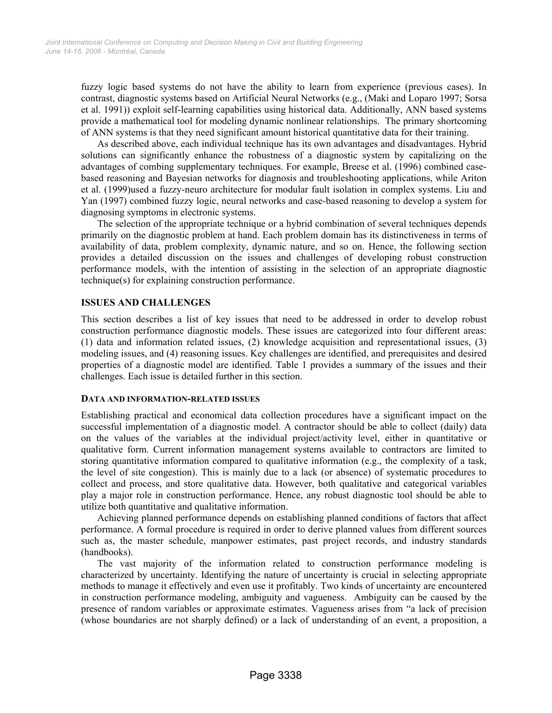fuzzy logic based systems do not have the ability to learn from experience (previous cases). In contrast, diagnostic systems based on Artificial Neural Networks (e.g., (Maki and Loparo 1997; Sorsa et al. 1991)) exploit self-learning capabilities using historical data. Additionally, ANN based systems provide a mathematical tool for modeling dynamic nonlinear relationships. The primary shortcoming of ANN systems is that they need significant amount historical quantitative data for their training.

As described above, each individual technique has its own advantages and disadvantages. Hybrid solutions can significantly enhance the robustness of a diagnostic system by capitalizing on the advantages of combing supplementary techniques. For example, Breese et al. (1996) combined casebased reasoning and Bayesian networks for diagnosis and troubleshooting applications, while Ariton et al. (1999)used a fuzzy-neuro architecture for modular fault isolation in complex systems. Liu and Yan (1997) combined fuzzy logic, neural networks and case-based reasoning to develop a system for diagnosing symptoms in electronic systems.

The selection of the appropriate technique or a hybrid combination of several techniques depends primarily on the diagnostic problem at hand. Each problem domain has its distinctiveness in terms of availability of data, problem complexity, dynamic nature, and so on. Hence, the following section provides a detailed discussion on the issues and challenges of developing robust construction performance models, with the intention of assisting in the selection of an appropriate diagnostic technique(s) for explaining construction performance.

# **ISSUES AND CHALLENGES**

This section describes a list of key issues that need to be addressed in order to develop robust construction performance diagnostic models. These issues are categorized into four different areas: (1) data and information related issues, (2) knowledge acquisition and representational issues, (3) modeling issues, and (4) reasoning issues. Key challenges are identified, and prerequisites and desired properties of a diagnostic model are identified. Table 1 provides a summary of the issues and their challenges. Each issue is detailed further in this section.

#### **DATA AND INFORMATION-RELATED ISSUES**

Establishing practical and economical data collection procedures have a significant impact on the successful implementation of a diagnostic model. A contractor should be able to collect (daily) data on the values of the variables at the individual project/activity level, either in quantitative or qualitative form. Current information management systems available to contractors are limited to storing quantitative information compared to qualitative information (e.g., the complexity of a task, the level of site congestion). This is mainly due to a lack (or absence) of systematic procedures to collect and process, and store qualitative data. However, both qualitative and categorical variables play a major role in construction performance. Hence, any robust diagnostic tool should be able to utilize both quantitative and qualitative information.

Achieving planned performance depends on establishing planned conditions of factors that affect performance. A formal procedure is required in order to derive planned values from different sources such as, the master schedule, manpower estimates, past project records, and industry standards (handbooks).

The vast majority of the information related to construction performance modeling is characterized by uncertainty. Identifying the nature of uncertainty is crucial in selecting appropriate methods to manage it effectively and even use it profitably. Two kinds of uncertainty are encountered in construction performance modeling, ambiguity and vagueness. Ambiguity can be caused by the presence of random variables or approximate estimates. Vagueness arises from "a lack of precision (whose boundaries are not sharply defined) or a lack of understanding of an event, a proposition, a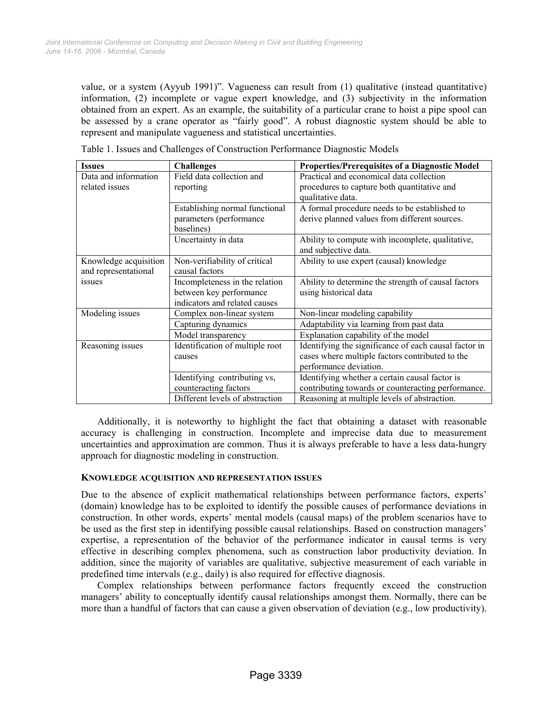value, or a system (Ayyub 1991)". Vagueness can result from (1) qualitative (instead quantitative) information, (2) incomplete or vague expert knowledge, and (3) subjectivity in the information obtained from an expert. As an example, the suitability of a particular crane to hoist a pipe spool can be assessed by a crane operator as "fairly good". A robust diagnostic system should be able to represent and manipulate vagueness and statistical uncertainties.

| <b>Issues</b>                                 | <b>Challenges</b>                                                                          | <b>Properties/Prerequisites of a Diagnostic Model</b>                                                                              |
|-----------------------------------------------|--------------------------------------------------------------------------------------------|------------------------------------------------------------------------------------------------------------------------------------|
| Data and information<br>related issues        | Field data collection and<br>reporting                                                     | Practical and economical data collection<br>procedures to capture both quantitative and<br>qualitative data.                       |
|                                               | Establishing normal functional<br>parameters (performance<br>baselines)                    | A formal procedure needs to be established to<br>derive planned values from different sources.                                     |
|                                               | Uncertainty in data                                                                        | Ability to compute with incomplete, qualitative,<br>and subjective data.                                                           |
| Knowledge acquisition<br>and representational | Non-verifiability of critical<br>causal factors                                            | Ability to use expert (causal) knowledge                                                                                           |
| issues                                        | Incompleteness in the relation<br>between key performance<br>indicators and related causes | Ability to determine the strength of causal factors<br>using historical data                                                       |
| Modeling issues                               | Complex non-linear system                                                                  | Non-linear modeling capability                                                                                                     |
|                                               | Capturing dynamics                                                                         | Adaptability via learning from past data                                                                                           |
|                                               | Model transparency                                                                         | Explanation capability of the model                                                                                                |
| Reasoning issues                              | Identification of multiple root<br>causes                                                  | Identifying the significance of each causal factor in<br>cases where multiple factors contributed to the<br>performance deviation. |
|                                               | Identifying contributing vs,<br>counteracting factors                                      | Identifying whether a certain causal factor is<br>contributing towards or counteracting performance.                               |
|                                               | Different levels of abstraction                                                            | Reasoning at multiple levels of abstraction.                                                                                       |

Table 1. Issues and Challenges of Construction Performance Diagnostic Models

Additionally, it is noteworthy to highlight the fact that obtaining a dataset with reasonable accuracy is challenging in construction. Incomplete and imprecise data due to measurement uncertainties and approximation are common. Thus it is always preferable to have a less data-hungry approach for diagnostic modeling in construction.

#### **KNOWLEDGE ACQUISITION AND REPRESENTATION ISSUES**

Due to the absence of explicit mathematical relationships between performance factors, experts' (domain) knowledge has to be exploited to identify the possible causes of performance deviations in construction. In other words, experts' mental models (causal maps) of the problem scenarios have to be used as the first step in identifying possible causal relationships. Based on construction managers' expertise, a representation of the behavior of the performance indicator in causal terms is very effective in describing complex phenomena, such as construction labor productivity deviation. In addition, since the majority of variables are qualitative, subjective measurement of each variable in predefined time intervals (e.g., daily) is also required for effective diagnosis.

Complex relationships between performance factors frequently exceed the construction managers' ability to conceptually identify causal relationships amongst them. Normally, there can be more than a handful of factors that can cause a given observation of deviation (e.g., low productivity).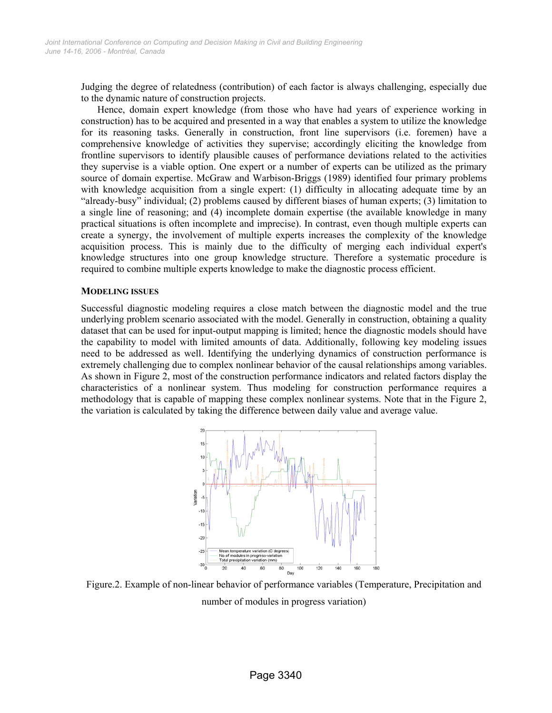Judging the degree of relatedness (contribution) of each factor is always challenging, especially due to the dynamic nature of construction projects.

Hence, domain expert knowledge (from those who have had years of experience working in construction) has to be acquired and presented in a way that enables a system to utilize the knowledge for its reasoning tasks. Generally in construction, front line supervisors (i.e. foremen) have a comprehensive knowledge of activities they supervise; accordingly eliciting the knowledge from frontline supervisors to identify plausible causes of performance deviations related to the activities they supervise is a viable option. One expert or a number of experts can be utilized as the primary source of domain expertise. McGraw and Warbison-Briggs (1989) identified four primary problems with knowledge acquisition from a single expert: (1) difficulty in allocating adequate time by an "already-busy" individual; (2) problems caused by different biases of human experts; (3) limitation to a single line of reasoning; and (4) incomplete domain expertise (the available knowledge in many practical situations is often incomplete and imprecise). In contrast, even though multiple experts can create a synergy, the involvement of multiple experts increases the complexity of the knowledge acquisition process. This is mainly due to the difficulty of merging each individual expert's knowledge structures into one group knowledge structure. Therefore a systematic procedure is required to combine multiple experts knowledge to make the diagnostic process efficient.

#### **MODELING ISSUES**

Successful diagnostic modeling requires a close match between the diagnostic model and the true underlying problem scenario associated with the model. Generally in construction, obtaining a quality dataset that can be used for input-output mapping is limited; hence the diagnostic models should have the capability to model with limited amounts of data. Additionally, following key modeling issues need to be addressed as well. Identifying the underlying dynamics of construction performance is extremely challenging due to complex nonlinear behavior of the causal relationships among variables. As shown in Figure 2, most of the construction performance indicators and related factors display the characteristics of a nonlinear system. Thus modeling for construction performance requires a methodology that is capable of mapping these complex nonlinear systems. Note that in the Figure 2, the variation is calculated by taking the difference between daily value and average value.



Figure.2. Example of non-linear behavior of performance variables (Temperature, Precipitation and number of modules in progress variation)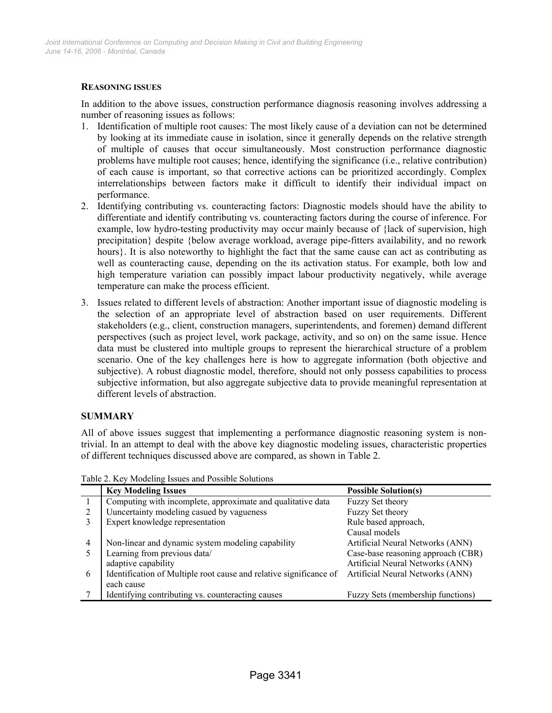# **REASONING ISSUES**

In addition to the above issues, construction performance diagnosis reasoning involves addressing a number of reasoning issues as follows:

- 1. Identification of multiple root causes: The most likely cause of a deviation can not be determined by looking at its immediate cause in isolation, since it generally depends on the relative strength of multiple of causes that occur simultaneously. Most construction performance diagnostic problems have multiple root causes; hence, identifying the significance (i.e., relative contribution) of each cause is important, so that corrective actions can be prioritized accordingly. Complex interrelationships between factors make it difficult to identify their individual impact on performance.
- 2. Identifying contributing vs. counteracting factors: Diagnostic models should have the ability to differentiate and identify contributing vs. counteracting factors during the course of inference. For example, low hydro-testing productivity may occur mainly because of {lack of supervision, high precipitation} despite {below average workload, average pipe-fitters availability, and no rework hours}. It is also noteworthy to highlight the fact that the same cause can act as contributing as well as counteracting cause, depending on the its activation status. For example, both low and high temperature variation can possibly impact labour productivity negatively, while average temperature can make the process efficient.
- 3. Issues related to different levels of abstraction: Another important issue of diagnostic modeling is the selection of an appropriate level of abstraction based on user requirements. Different stakeholders (e.g., client, construction managers, superintendents, and foremen) demand different perspectives (such as project level, work package, activity, and so on) on the same issue. Hence data must be clustered into multiple groups to represent the hierarchical structure of a problem scenario. One of the key challenges here is how to aggregate information (both objective and subjective). A robust diagnostic model, therefore, should not only possess capabilities to process subjective information, but also aggregate subjective data to provide meaningful representation at different levels of abstraction.

# **SUMMARY**

All of above issues suggest that implementing a performance diagnostic reasoning system is nontrivial. In an attempt to deal with the above key diagnostic modeling issues, characteristic properties of different techniques discussed above are compared, as shown in Table 2.

|   | <b>Key Modeling Issues</b>                                         | <b>Possible Solution(s)</b>        |
|---|--------------------------------------------------------------------|------------------------------------|
|   | Computing with incomplete, approximate and qualitative data        | Fuzzy Set theory                   |
| 2 | Uuncertainty modeling casued by vagueness                          | Fuzzy Set theory                   |
|   | Expert knowledge representation                                    | Rule based approach,               |
|   |                                                                    | Causal models                      |
| 4 | Non-linear and dynamic system modeling capability                  | Artificial Neural Networks (ANN)   |
|   | Learning from previous data/                                       | Case-base reasoning approach (CBR) |
|   | adaptive capability                                                | Artificial Neural Networks (ANN)   |
| 6 | Identification of Multiple root cause and relative significance of | Artificial Neural Networks (ANN)   |
|   | each cause                                                         |                                    |
|   | Identifying contributing vs. counteracting causes                  | Fuzzy Sets (membership functions)  |

Table 2. Key Modeling Issues and Possible Solutions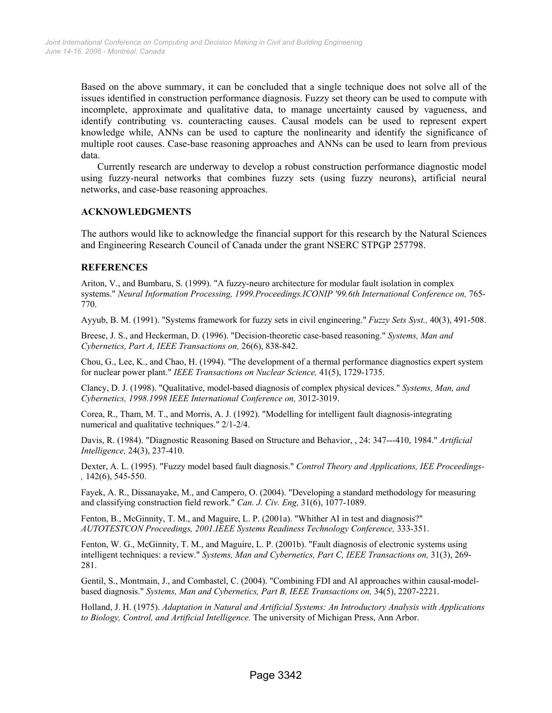Based on the above summary, it can be concluded that a single technique does not solve all of the issues identified in construction performance diagnosis. Fuzzy set theory can be used to compute with incomplete, approximate and qualitative data, to manage uncertainty caused by vagueness, and identify contributing vs. counteracting causes. Causal models can be used to represent expert knowledge while, ANNs can be used to capture the nonlinearity and identify the significance of multiple root causes. Case-base reasoning approaches and ANNs can be used to learn from previous data.

Currently research are underway to develop a robust construction performance diagnostic model using fuzzy-neural networks that combines fuzzy sets (using fuzzy neurons), artificial neural networks, and case-base reasoning approaches.

#### **ACKNOWLEDGMENTS**

The authors would like to acknowledge the financial support for this research by the Natural Sciences and Engineering Research Council of Canada under the grant NSERC STPGP 257798.

# **REFERENCES**

Ariton, V., and Bumbaru, S. (1999). "A fuzzy-neuro architecture for modular fault isolation in complex systems." *Neural Information Processing, 1999.Proceedings.ICONIP '99.6th International Conference on, 765-*770.

Ayyub, B. M. (1991). "Systems framework for fuzzy sets in civil engineering." *Fuzzy Sets Syst.,* 40(3), 491-508.

Breese, J. S., and Heckerman, D. (1996). "Decision-theoretic case-based reasoning." *Systems, Man and Cybernetics, Part A, IEEE Transactions on,* 26(6), 838-842.

Chou, G., Lee, K., and Chao, H. (1994). "The development of a thermal performance diagnostics expert system for nuclear power plant." *IEEE Transactions on Nuclear Science,* 41(5), 1729-1735.

Clancy, D. J. (1998). "Qualitative, model-based diagnosis of complex physical devices." *Systems, Man, and Cybernetics, 1998.1998 IEEE International Conference on,* 3012-3019.

Corea, R., Tham, M. T., and Morris, A. J. (1992). "Modelling for intelligent fault diagnosis-integrating numerical and qualitative techniques." 2/1-2/4.

Davis, R. (1984). "Diagnostic Reasoning Based on Structure and Behavior, , 24: 347---410, 1984." *Artificial Intelligence,* 24(3), 237-410.

Dexter, A. L. (1995). "Fuzzy model based fault diagnosis." *Control Theory and Applications, IEE Proceedings- ,* 142(6), 545-550.

Fayek, A. R., Dissanayake, M., and Campero, O. (2004). "Developing a standard methodology for measuring and classifying construction field rework." *Can. J. Civ. Eng,* 31(6), 1077-1089.

Fenton, B., McGinnity, T. M., and Maguire, L. P. (2001a). "Whither AI in test and diagnosis?" *AUTOTESTCON Proceedings, 2001.IEEE Systems Readiness Technology Conference,* 333-351.

Fenton, W. G., McGinnity, T. M., and Maguire, L. P. (2001b). "Fault diagnosis of electronic systems using intelligent techniques: a review." *Systems, Man and Cybernetics, Part C, IEEE Transactions on,* 31(3), 269- 281.

Gentil, S., Montmain, J., and Combastel, C. (2004). "Combining FDI and AI approaches within causal-modelbased diagnosis." *Systems, Man and Cybernetics, Part B, IEEE Transactions on,* 34(5), 2207-2221.

Holland, J. H. (1975). *Adaptation in Natural and Artificial Systems: An Introductory Analysis with Applications to Biology, Control, and Artificial Intelligence.* The university of Michigan Press, Ann Arbor.